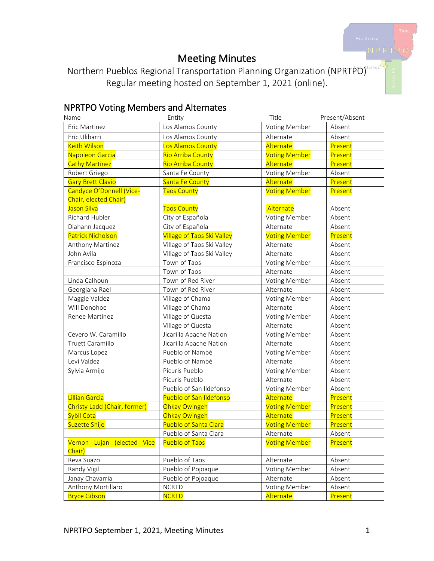## Meeting Minutes

Northern Pueblos Regional Transportation Planning Organization (NPRTPO) Regular meeting hosted on September 1, 2021 (online).

### NPRTPO Voting Members and Alternates

| Name                                 | Entity                            | Title                | Present/Absent |
|--------------------------------------|-----------------------------------|----------------------|----------------|
| Eric Martinez                        | Los Alamos County                 | Voting Member        | Absent         |
| Eric Ulibarri                        | Los Alamos County                 | Alternate            | Absent         |
| <b>Keith Wilson</b>                  | Los Alamos County                 | Alternate            | Present        |
| Napoleon Garcia                      | <b>Rio Arriba County</b>          | <b>Voting Member</b> | Present        |
| <b>Cathy Martinez</b>                | Rio Arriba County                 | Alternate            | Present        |
| Robert Griego                        | Santa Fe County                   | Voting Member        | Absent         |
| <b>Gary Brett Clavio</b>             | Santa Fe County                   | Alternate            | Present        |
| Candyce O'Donnell (Vice-             | <b>Taos County</b>                | <b>Voting Member</b> | Present        |
| Chair, elected Chair)                |                                   |                      |                |
| Jason Silva                          | <b>Taos County</b>                | Alternate            | Absent         |
| Richard Hubler                       | City of Española                  | Voting Member        | Absent         |
| Diahann Jacquez                      | City of Española                  | Alternate            | Absent         |
| <b>Patrick Nicholson</b>             | <b>Village of Taos Ski Valley</b> | <b>Voting Member</b> | Present        |
| Anthony Martinez                     | Village of Taos Ski Valley        | Alternate            | Absent         |
| John Avila                           | Village of Taos Ski Valley        | Alternate            | Absent         |
| Francisco Espinoza                   | Town of Taos                      | Voting Member        | Absent         |
|                                      | Town of Taos                      | Alternate            | Absent         |
| Linda Calhoun                        | Town of Red River                 | Voting Member        | Absent         |
| Georgiana Rael                       | Town of Red River                 | Alternate            | Absent         |
| Maggie Valdez                        | Village of Chama                  | Voting Member        | Absent         |
| Will Donohoe                         | Village of Chama                  | Alternate            | Absent         |
| Renee Martinez                       | Village of Questa                 | Voting Member        | Absent         |
|                                      | Village of Questa                 | Alternate            | Absent         |
| Cevero W. Caramillo                  | Jicarilla Apache Nation           | Voting Member        | Absent         |
| Truett Caramillo                     | Jicarilla Apache Nation           | Alternate            | Absent         |
| Marcus Lopez                         | Pueblo of Nambé                   | Voting Member        | Absent         |
| Levi Valdez                          | Pueblo of Nambé                   | Alternate            | Absent         |
| Sylvia Armijo                        | Picuris Pueblo                    | Voting Member        | Absent         |
|                                      | Picuris Pueblo                    | Alternate            | Absent         |
|                                      | Pueblo of San Ildefonso           | Voting Member        | Absent         |
| Lillian Garcia                       | Pueblo of San Ildefonso           | Alternate            | Present        |
| Christy Ladd (Chair, former)         | Ohkay Owingeh                     | <b>Voting Member</b> | Present        |
| Sybil Cota                           | Ohkay Owingeh                     | Alternate            | Present        |
| Suzette Shije                        | <b>Pueblo of Santa Clara</b>      | <b>Voting Member</b> | Present        |
|                                      | Pueblo of Santa Clara             | Alternate            | Absent         |
| Vernon Lujan (elected Vice<br>Chair) | <b>Pueblo of Taos</b>             | <b>Voting Member</b> | Present        |
| Reva Suazo                           | Pueblo of Taos                    | Alternate            | Absent         |
| Randy Vigil                          | Pueblo of Pojoaque                | Voting Member        | Absent         |
| Janay Chavarria                      | Pueblo of Pojoaque                | Alternate            | Absent         |
| Anthony Mortillaro                   | <b>NCRTD</b>                      | Voting Member        | Absent         |
| <b>Bryce Gibson</b>                  | <b>NCRTD</b>                      | Alternate            | Present        |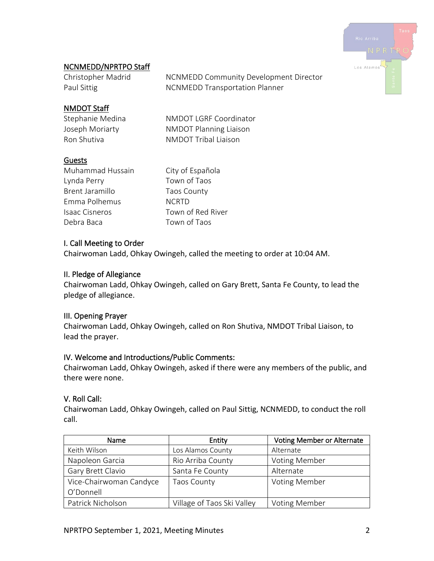

#### NCNMEDD/NPRTPO Staff

| Christopher Madrid | <b>NCNMEDD Community Development Director</b> |
|--------------------|-----------------------------------------------|
| Paul Sittig        | <b>NCNMEDD Transportation Planner</b>         |

#### NMDOT Staff

Stephanie Medina NMDOT LGRF Coordinator Joseph Moriarty NMDOT Planning Liaison Ron Shutiva NMDOT Tribal Liaison

#### Guests

Muhammad Hussain City of Española Lynda Perry Town of Taos Brent Jaramillo Taos County Emma Polhemus NCRTD Isaac Cisneros Town of Red River Debra Baca Town of Taos

#### I. Call Meeting to Order

Chairwoman Ladd, Ohkay Owingeh, called the meeting to order at 10:04 AM.

#### II. Pledge of Allegiance

Chairwoman Ladd, Ohkay Owingeh, called on Gary Brett, Santa Fe County, to lead the pledge of allegiance.

#### III. Opening Prayer

Chairwoman Ladd, Ohkay Owingeh, called on Ron Shutiva, NMDOT Tribal Liaison, to lead the prayer.

#### IV. Welcome and Introductions/Public Comments:

Chairwoman Ladd, Ohkay Owingeh, asked if there were any members of the public, and there were none.

#### V. Roll Call:

Chairwoman Ladd, Ohkay Owingeh, called on Paul Sittig, NCNMEDD, to conduct the roll call.

| <b>Name</b>             | Entity                     | <b>Voting Member or Alternate</b> |
|-------------------------|----------------------------|-----------------------------------|
| Keith Wilson            | Los Alamos County          | Alternate                         |
| Napoleon Garcia         | Rio Arriba County          | <b>Voting Member</b>              |
| Gary Brett Clavio       | Santa Fe County            | Alternate                         |
| Vice-Chairwoman Candyce | <b>Taos County</b>         | <b>Voting Member</b>              |
| O'Donnell               |                            |                                   |
| Patrick Nicholson       | Village of Taos Ski Valley | <b>Voting Member</b>              |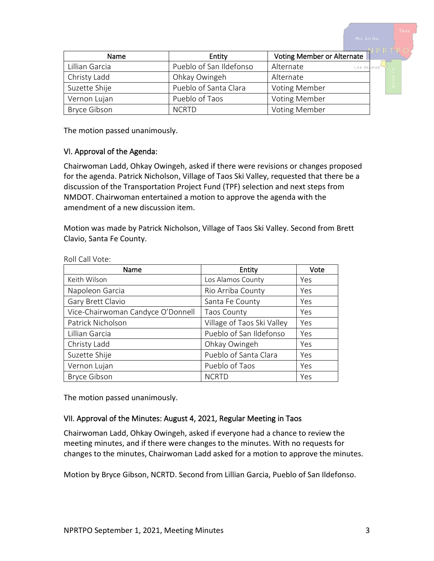Name  $\vert$  Entity Voting Member or Alternate Lillian Garcia **Pueblo of San Ildefonso** | Alternate Los A Christy Ladd Christy Ladd Christy Ladd Christy Ladd Christian Alternate Suzette Shije **Pueblo of Santa Clara** Voting Member Vernon Lujan Vernon Lujan Vernon Lujan Vernon Lujan Vernon Pueblo of Taos Bryce Gibson **NORTO** NCRTD **Voting Member** 

The motion passed unanimously.

#### VI. Approval of the Agenda:

Chairwoman Ladd, Ohkay Owingeh, asked if there were revisions or changes proposed for the agenda. Patrick Nicholson, Village of Taos Ski Valley, requested that there be a discussion of the Transportation Project Fund (TPF) selection and next steps from NMDOT. Chairwoman entertained a motion to approve the agenda with the amendment of a new discussion item.

Motion was made by Patrick Nicholson, Village of Taos Ski Valley. Second from Brett Clavio, Santa Fe County.

| Name                              | Entity                     | Vote |
|-----------------------------------|----------------------------|------|
| Keith Wilson                      | Los Alamos County          | Yes  |
| Napoleon Garcia                   | Rio Arriba County          | Yes  |
| Gary Brett Clavio                 | Santa Fe County            | Yes  |
| Vice-Chairwoman Candyce O'Donnell | <b>Taos County</b>         | Yes  |
| Patrick Nicholson                 | Village of Taos Ski Valley | Yes  |
| Lillian Garcia                    | Pueblo of San Ildefonso    | Yes  |
| Christy Ladd                      | Ohkay Owingeh              | Yes  |
| Suzette Shije                     | Pueblo of Santa Clara      | Yes  |
| Vernon Lujan                      | Pueblo of Taos             | Yes  |
| <b>Bryce Gibson</b>               | <b>NCRTD</b>               | Yes  |

Roll Call Vote:

The motion passed unanimously.

#### VII. Approval of the Minutes: August 4, 2021, Regular Meeting in Taos

Chairwoman Ladd, Ohkay Owingeh, asked if everyone had a chance to review the meeting minutes, and if there were changes to the minutes. With no requests for changes to the minutes, Chairwoman Ladd asked for a motion to approve the minutes.

Motion by Bryce Gibson, NCRTD. Second from Lillian Garcia, Pueblo of San Ildefonso.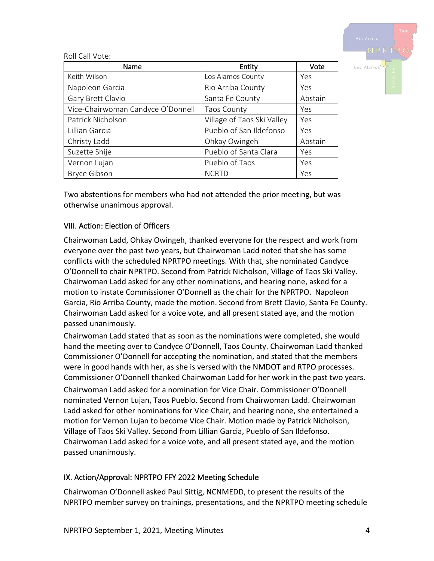

| Name                              | Entity                     | Vote    |
|-----------------------------------|----------------------------|---------|
| Keith Wilson                      | Los Alamos County          | Yes     |
| Napoleon Garcia                   | Rio Arriba County          | Yes     |
| Gary Brett Clavio                 | Santa Fe County            | Abstain |
| Vice-Chairwoman Candyce O'Donnell | <b>Taos County</b>         | Yes     |
| Patrick Nicholson                 | Village of Taos Ski Valley | Yes     |
| Lillian Garcia                    | Pueblo of San Ildefonso    | Yes     |
| Christy Ladd                      | Ohkay Owingeh              | Abstain |
| Suzette Shije                     | Pueblo of Santa Clara      | Yes     |
| Vernon Lujan                      | Pueblo of Taos             | Yes     |
| <b>Bryce Gibson</b>               | <b>NCRTD</b>               | Yes     |

Two abstentions for members who had not attended the prior meeting, but was otherwise unanimous approval.

#### VIII. Action: Election of Officers

Chairwoman Ladd, Ohkay Owingeh, thanked everyone for the respect and work from everyone over the past two years, but Chairwoman Ladd noted that she has some conflicts with the scheduled NPRTPO meetings. With that, she nominated Candyce O'Donnell to chair NPRTPO. Second from Patrick Nicholson, Village of Taos Ski Valley. Chairwoman Ladd asked for any other nominations, and hearing none, asked for a motion to instate Commissioner O'Donnell as the chair for the NPRTPO. Napoleon Garcia, Rio Arriba County, made the motion. Second from Brett Clavio, Santa Fe County. Chairwoman Ladd asked for a voice vote, and all present stated aye, and the motion passed unanimously.

Chairwoman Ladd stated that as soon as the nominations were completed, she would hand the meeting over to Candyce O'Donnell, Taos County. Chairwoman Ladd thanked Commissioner O'Donnell for accepting the nomination, and stated that the members were in good hands with her, as she is versed with the NMDOT and RTPO processes. Commissioner O'Donnell thanked Chairwoman Ladd for her work in the past two years. Chairwoman Ladd asked for a nomination for Vice Chair. Commissioner O'Donnell nominated Vernon Lujan, Taos Pueblo. Second from Chairwoman Ladd. Chairwoman Ladd asked for other nominations for Vice Chair, and hearing none, she entertained a motion for Vernon Lujan to become Vice Chair. Motion made by Patrick Nicholson, Village of Taos Ski Valley. Second from Lillian Garcia, Pueblo of San Ildefonso.

Chairwoman Ladd asked for a voice vote, and all present stated aye, and the motion passed unanimously.

#### IX. Action/Approval: NPRTPO FFY 2022 Meeting Schedule

Chairwoman O'Donnell asked Paul Sittig, NCNMEDD, to present the results of the NPRTPO member survey on trainings, presentations, and the NPRTPO meeting schedule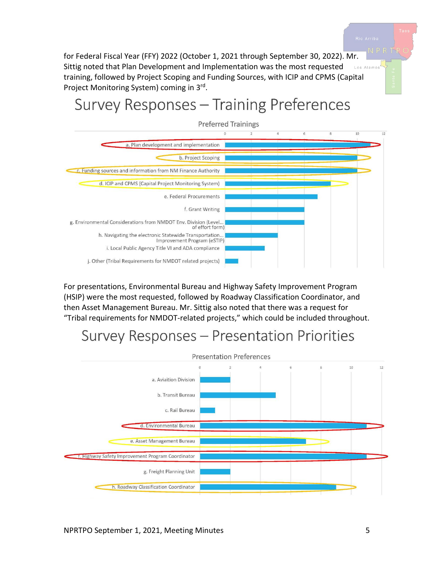for Federal Fiscal Year (FFY) 2022 (October 1, 2021 through September 30, 2022). Mr. Sittig noted that Plan Development and Implementation was the most requested Los Alamos training, followed by Project Scoping and Funding Sources, with ICIP and CPMS (Capital Project Monitoring System) coming in 3rd.

# Survey Responses - Training Preferences



For presentations, Environmental Bureau and Highway Safety Improvement Program (HSIP) were the most requested, followed by Roadway Classification Coordinator, and then Asset Management Bureau. Mr. Sittig also noted that there was a request for "Tribal requirements for NMDOT-related projects," which could be included throughout.

## Survey Responses - Presentation Priorities

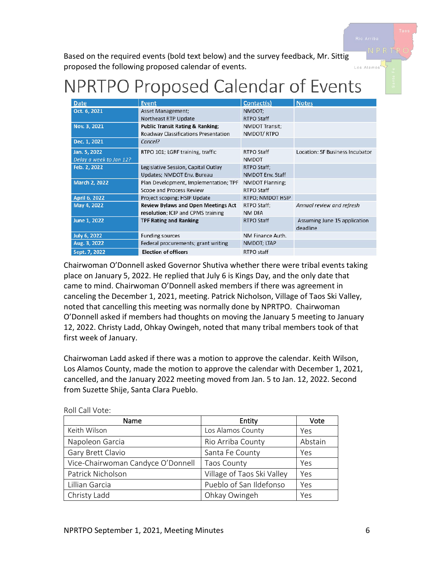Los Alamo

Based on the required events (bold text below) and the survey feedback, Mr. Sittig proposed the following proposed calendar of events.

# NPRTPO Proposed Calendar of Events

| <b>Date</b>             | <b>Event</b>                                | Contact(s)        | <b>Notes</b>                    |
|-------------------------|---------------------------------------------|-------------------|---------------------------------|
| Oct. 6, 2021            | Asset Management;                           | NMDOT;            |                                 |
|                         | Northeast RTP Update                        | <b>RTPO Staff</b> |                                 |
| Nov. 3, 2021            | <b>Public Transit Rating &amp; Ranking;</b> | NMDOT Transit;    |                                 |
|                         | <b>Roadway Classifications Presentation</b> | NMDOT/RTPO        |                                 |
| Dec. 1, 2021            | Cancel?                                     |                   |                                 |
| Jan. 5, 2022            | RTPO 101; LGRF training, traffic            | RTPO Staff        | Location: SF Business Incubator |
| Delay a week to Jan 12? |                                             | <b>NMDOT</b>      |                                 |
| Feb. 2, 2022            | Legislative Session, Capital Outlay         | RTPO Staff;       |                                 |
|                         | Updates; NMDOT Env. Bureau                  | NMDOT Env. Staff  |                                 |
| March 2, 2022           | Plan Development, Implementation; TPF       | NMDOT Planning;   |                                 |
|                         | <b>Scope and Process Review</b>             | RTPO Staff        |                                 |
| April 6, 2022           | Project scoping; HSIP Update                | RTPO; NMDOT HSIP  |                                 |
| May 4, 2022             | <b>Review Bylaws and Open Meetings Act</b>  | RTPO Staff;       | Annual review and refresh       |
|                         | resolution; ICIP and CPMS training          | NM DFA            |                                 |
| June 1, 2022            | <b>TPF Rating and Ranking</b>               | RTPO Staff        | Assuming June 15 application    |
|                         |                                             |                   | deadline                        |
| <b>July 6, 2022</b>     | <b>Funding sources</b>                      | NM Finance Auth.  |                                 |
| Aug. 3, 2022            | Federal procurements; grant writing         | NMDOT; LTAP       |                                 |
| Sept. 7, 2022           | <b>Election of officers</b>                 | RTPO staff        |                                 |

Chairwoman O'Donnell asked Governor Shutiva whether there were tribal events taking place on January 5, 2022. He replied that July 6 is Kings Day, and the only date that came to mind. Chairwoman O'Donnell asked members if there was agreement in canceling the December 1, 2021, meeting. Patrick Nicholson, Village of Taos Ski Valley, noted that cancelling this meeting was normally done by NPRTPO. Chairwoman O'Donnell asked if members had thoughts on moving the January 5 meeting to January 12, 2022. Christy Ladd, Ohkay Owingeh, noted that many tribal members took of that first week of January.

Chairwoman Ladd asked if there was a motion to approve the calendar. Keith Wilson, Los Alamos County, made the motion to approve the calendar with December 1, 2021, cancelled, and the January 2022 meeting moved from Jan. 5 to Jan. 12, 2022. Second from Suzette Shije, Santa Clara Pueblo.

| Name                              | Entity                     | Vote    |
|-----------------------------------|----------------------------|---------|
| Keith Wilson                      | Los Alamos County          | Yes     |
| Napoleon Garcia                   | Rio Arriba County          | Abstain |
| Gary Brett Clavio                 | Santa Fe County            | Yes     |
| Vice-Chairwoman Candyce O'Donnell | <b>Taos County</b>         | Yes     |
| Patrick Nicholson                 | Village of Taos Ski Valley | Yes     |
| Lillian Garcia                    | Pueblo of San Ildefonso    | Yes     |
| Christy Ladd                      | Ohkay Owingeh              | Yes     |

Roll Call Vote: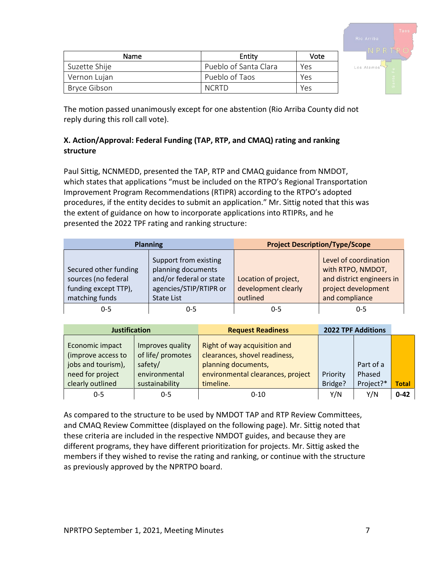| Taos<br>Rio Arriba<br>NPRT                                       |
|------------------------------------------------------------------|
| Los Alamos<br>$\ddot{\phantom{a}}$<br>a.<br>$\overline{a}$<br>Sa |

| Name          | Entity                | Vote |
|---------------|-----------------------|------|
| Suzette Shije | Pueblo of Santa Clara | Yes  |
| Vernon Lujan  | Pueblo of Taos        | Yes  |
| Bryce Gibson  | <b>NCRTD</b>          | Yes  |

The motion passed unanimously except for one abstention (Rio Arriba County did not reply during this roll call vote).

#### **X. Action/Approval: Federal Funding (TAP, RTP, and CMAQ) rating and ranking structure**

Paul Sittig, NCNMEDD, presented the TAP, RTP and CMAQ guidance from NMDOT, which states that applications "must be included on the RTPO's Regional Transportation Improvement Program Recommendations (RTIPR) according to the RTPO's adopted procedures, if the entity decides to submit an application." Mr. Sittig noted that this was the extent of guidance on how to incorporate applications into RTIPRs, and he presented the 2022 TPF rating and ranking structure:

| <b>Planning</b>                                                                        |                                                                                                                       | <b>Project Description/Type/Scope</b>                   |                                                                                                                  |  |
|----------------------------------------------------------------------------------------|-----------------------------------------------------------------------------------------------------------------------|---------------------------------------------------------|------------------------------------------------------------------------------------------------------------------|--|
| Secured other funding<br>sources (no federal<br>funding except TTP),<br>matching funds | Support from existing<br>planning documents<br>and/or federal or state<br>agencies/STIP/RTIPR or<br><b>State List</b> | Location of project,<br>development clearly<br>outlined | Level of coordination<br>with RTPO, NMDOT,<br>and district engineers in<br>project development<br>and compliance |  |
| 0-5                                                                                    | 0-5                                                                                                                   | 0-5                                                     | $0 - 5$                                                                                                          |  |

| <b>Justification</b>                                                                                |                                                                                     | <b>Request Readiness</b>                                                                                                               |                     | <b>2022 TPF Additions</b>        |              |
|-----------------------------------------------------------------------------------------------------|-------------------------------------------------------------------------------------|----------------------------------------------------------------------------------------------------------------------------------------|---------------------|----------------------------------|--------------|
| Economic impact<br>(improve access to<br>jobs and tourism),<br>need for project<br>clearly outlined | Improves quality<br>of life/ promotes<br>safety/<br>environmental<br>sustainability | Right of way acquisition and<br>clearances, shovel readiness,<br>planning documents,<br>environmental clearances, project<br>timeline. | Priority<br>Bridge? | Part of a<br>Phased<br>Project?* | <b>Total</b> |
| $0 - 5$                                                                                             | $0 - 5$                                                                             | $0 - 10$                                                                                                                               | Y/N                 | Y/N                              | $0 - 42$     |

As compared to the structure to be used by NMDOT TAP and RTP Review Committees, and CMAQ Review Committee (displayed on the following page). Mr. Sittig noted that these criteria are included in the respective NMDOT guides, and because they are different programs, they have different prioritization for projects. Mr. Sittig asked the members if they wished to revise the rating and ranking, or continue with the structure as previously approved by the NPRTPO board.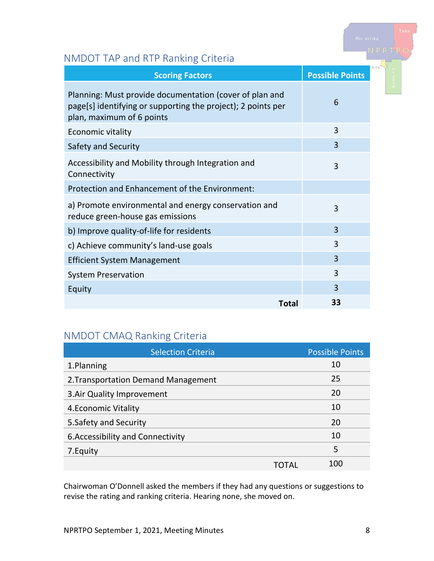## NMDOT TAP and RTP Ranking Criteria

| <b>Scoring Factors</b>                                                                                                                               | <b>Possible Points</b> | III O S |
|------------------------------------------------------------------------------------------------------------------------------------------------------|------------------------|---------|
| Planning: Must provide documentation (cover of plan and<br>page[s] identifying or supporting the project); 2 points per<br>plan, maximum of 6 points | 6                      |         |
| Economic vitality                                                                                                                                    | 3                      |         |
| Safety and Security                                                                                                                                  | 3                      |         |
| Accessibility and Mobility through Integration and<br>Connectivity                                                                                   | 3                      |         |
| Protection and Enhancement of the Environment:                                                                                                       |                        |         |
| a) Promote environmental and energy conservation and<br>reduce green-house gas emissions                                                             | 3                      |         |
| b) Improve quality-of-life for residents                                                                                                             | $\overline{3}$         |         |
| c) Achieve community's land-use goals                                                                                                                | 3                      |         |
| <b>Efficient System Management</b>                                                                                                                   | 3                      |         |
| <b>System Preservation</b>                                                                                                                           | 3                      |         |
| Equity                                                                                                                                               | 3                      |         |
| Total                                                                                                                                                | 33                     |         |

## NMDOT CMAQ Ranking Criteria

| <b>Selection Criteria</b>           |      | <b>Possible Points</b> |
|-------------------------------------|------|------------------------|
| 1.Planning                          |      | 10                     |
| 2. Transportation Demand Management |      | 25                     |
| 3. Air Quality Improvement          |      | 20                     |
| 4. Economic Vitality                |      | 10                     |
| 5. Safety and Security              |      | 20                     |
| 6. Accessibility and Connectivity   |      | 10                     |
| 7. Equity                           |      | 5                      |
|                                     | I AI | 100                    |

Chairwoman O'Donnell asked the members if they had any questions or suggestions to revise the rating and ranking criteria. Hearing none, she moved on.

Rio Arriba<br>NPRTF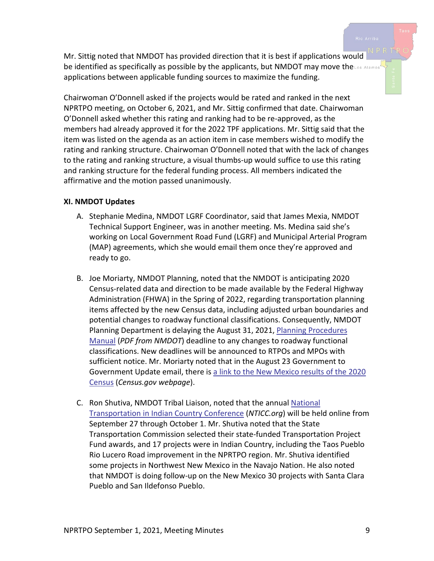Mr. Sittig noted that NMDOT has provided direction that it is best if applications would be identified as specifically as possible by the applicants, but NMDOT may move theLos Alamos applications between applicable funding sources to maximize the funding.

Chairwoman O'Donnell asked if the projects would be rated and ranked in the next NPRTPO meeting, on October 6, 2021, and Mr. Sittig confirmed that date. Chairwoman O'Donnell asked whether this rating and ranking had to be re-approved, as the members had already approved it for the 2022 TPF applications. Mr. Sittig said that the item was listed on the agenda as an action item in case members wished to modify the rating and ranking structure. Chairwoman O'Donnell noted that with the lack of changes to the rating and ranking structure, a visual thumbs-up would suffice to use this rating and ranking structure for the federal funding process. All members indicated the affirmative and the motion passed unanimously.

#### **XI. NMDOT Updates**

- A. Stephanie Medina, NMDOT LGRF Coordinator, said that James Mexia, NMDOT Technical Support Engineer, was in another meeting. Ms. Medina said she's working on Local Government Road Fund (LGRF) and Municipal Arterial Program (MAP) agreements, which she would email them once they're approved and ready to go.
- B. Joe Moriarty, NMDOT Planning, noted that the NMDOT is anticipating 2020 Census-related data and direction to be made available by the Federal Highway Administration (FHWA) in the Spring of 2022, regarding transportation planning items affected by the new Census data, including adjusted urban boundaries and potential changes to roadway functional classifications. Consequently, NMDOT Planning Department is delaying the August 31, 2021, [Planning Procedures](https://www.dot.state.nm.us/content/dam/nmdot/planning/Planning_Procedures_Manual.pdf)  [Manual](https://www.dot.state.nm.us/content/dam/nmdot/planning/Planning_Procedures_Manual.pdf) (*PDF from NMDOT*) deadline to any changes to roadway functional classifications. New deadlines will be announced to RTPOs and MPOs with sufficient notice. Mr. Moriarty noted that in the August 23 Government to Government Update email, there is a link to the [New Mexico results of the 2020](https://www.census.gov/library/stories/state-by-state/new-mexico-population-change-between-census-decade.html)  [Census](https://www.census.gov/library/stories/state-by-state/new-mexico-population-change-between-census-decade.html) (*Census.gov webpage*).
- C. Ron Shutiva, NMDOT Tribal Liaison, noted that the annual [National](https://www.nticc.org/)  [Transportation in Indian Country Conference](https://www.nticc.org/) (*NTICC.org*) will be held online from September 27 through October 1. Mr. Shutiva noted that the State Transportation Commission selected their state-funded Transportation Project Fund awards, and 17 projects were in Indian Country, including the Taos Pueblo Rio Lucero Road improvement in the NPRTPO region. Mr. Shutiva identified some projects in Northwest New Mexico in the Navajo Nation. He also noted that NMDOT is doing follow-up on the New Mexico 30 projects with Santa Clara Pueblo and San Ildefonso Pueblo.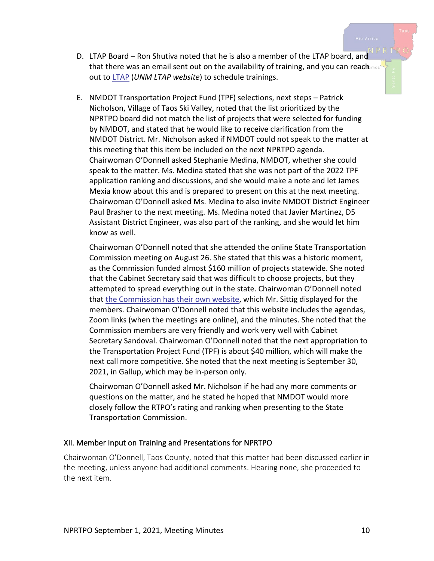- D. LTAP Board Ron Shutiva noted that he is also a member of the LTAP board, and that there was an email sent out on the availability of training, and you can reach out to [LTAP](https://ltap.unm.edu/) (*UNM LTAP website*) to schedule trainings.
- E. NMDOT Transportation Project Fund (TPF) selections, next steps Patrick Nicholson, Village of Taos Ski Valley, noted that the list prioritized by the NPRTPO board did not match the list of projects that were selected for funding by NMDOT, and stated that he would like to receive clarification from the NMDOT District. Mr. Nicholson asked if NMDOT could not speak to the matter at this meeting that this item be included on the next NPRTPO agenda. Chairwoman O'Donnell asked Stephanie Medina, NMDOT, whether she could speak to the matter. Ms. Medina stated that she was not part of the 2022 TPF application ranking and discussions, and she would make a note and let James Mexia know about this and is prepared to present on this at the next meeting. Chairwoman O'Donnell asked Ms. Medina to also invite NMDOT District Engineer Paul Brasher to the next meeting. Ms. Medina noted that Javier Martinez, D5 Assistant District Engineer, was also part of the ranking, and she would let him know as well.

Chairwoman O'Donnell noted that she attended the online State Transportation Commission meeting on August 26. She stated that this was a historic moment, as the Commission funded almost \$160 million of projects statewide. She noted that the Cabinet Secretary said that was difficult to choose projects, but they attempted to spread everything out in the state. Chairwoman O'Donnell noted that [the Commission has their own website,](https://dot.state.nm.us/content/nmdot/en/TC_Publications.html) which Mr. Sittig displayed for the members. Chairwoman O'Donnell noted that this website includes the agendas, Zoom links (when the meetings are online), and the minutes. She noted that the Commission members are very friendly and work very well with Cabinet Secretary Sandoval. Chairwoman O'Donnell noted that the next appropriation to the Transportation Project Fund (TPF) is about \$40 million, which will make the next call more competitive. She noted that the next meeting is September 30, 2021, in Gallup, which may be in-person only.

Chairwoman O'Donnell asked Mr. Nicholson if he had any more comments or questions on the matter, and he stated he hoped that NMDOT would more closely follow the RTPO's rating and ranking when presenting to the State Transportation Commission.

#### XII. Member Input on Training and Presentations for NPRTPO

Chairwoman O'Donnell, Taos County, noted that this matter had been discussed earlier in the meeting, unless anyone had additional comments. Hearing none, she proceeded to the next item.